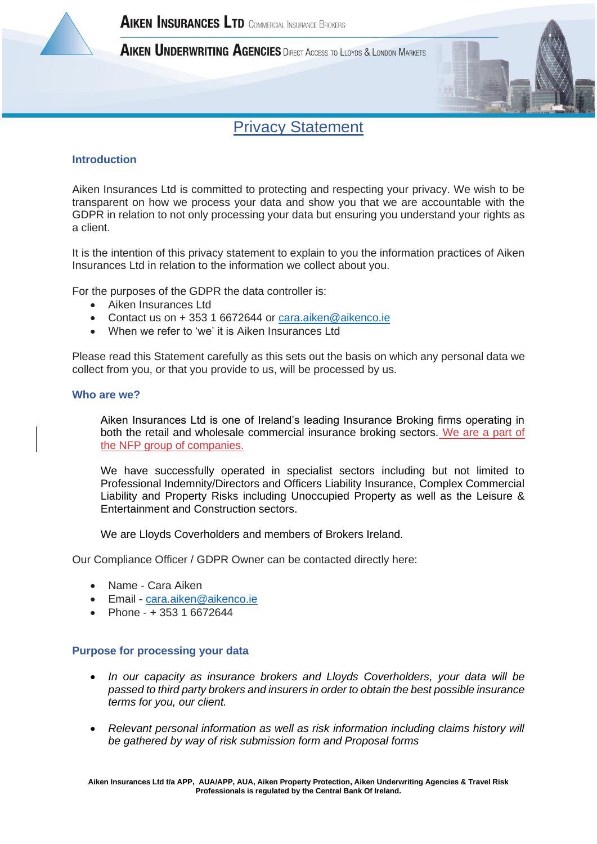

AIKEN UNDERWRITING AGENCIES DIRECT ACCESS TO LLOYDS & LONDON MARKETS



# Privacy Statement

# **Introduction**

Aiken Insurances Ltd is committed to protecting and respecting your privacy. We wish to be transparent on how we process your data and show you that we are accountable with the GDPR in relation to not only processing your data but ensuring you understand your rights as a client.

It is the intention of this privacy statement to explain to you the information practices of Aiken Insurances Ltd in relation to the information we collect about you.

For the purposes of the GDPR the data controller is:

- Aiken Insurances Ltd
- Contact us on + 353 1 6672644 or [cara.aiken@aikenco.ie](mailto:cara.aiken@aikenco.ie)
- When we refer to 'we' it is Aiken Insurances Ltd

Please read this Statement carefully as this sets out the basis on which any personal data we collect from you, or that you provide to us, will be processed by us.

### **Who are we?**

Aiken Insurances Ltd is one of Ireland's leading Insurance Broking firms operating in both the retail and wholesale commercial insurance broking sectors. We are a part of the NFP group of companies.

We have successfully operated in specialist sectors including but not limited to Professional Indemnity/Directors and Officers Liability Insurance, Complex Commercial Liability and Property Risks including Unoccupied Property as well as the Leisure & Entertainment and Construction sectors.

We are Lloyds Coverholders and members of Brokers Ireland.

Our Compliance Officer / GDPR Owner can be contacted directly here:

- Name Cara Aiken
- Email [cara.aiken@aikenco.ie](mailto:cara.aiken@aikenco.ie)
- Phone + 353 1 6672644

#### **Purpose for processing your data**

- *In our capacity as insurance brokers and Lloyds Coverholders, your data will be passed to third party brokers and insurers in order to obtain the best possible insurance terms for you, our client.*
- *Relevant personal information as well as risk information including claims history will be gathered by way of risk submission form and Proposal forms*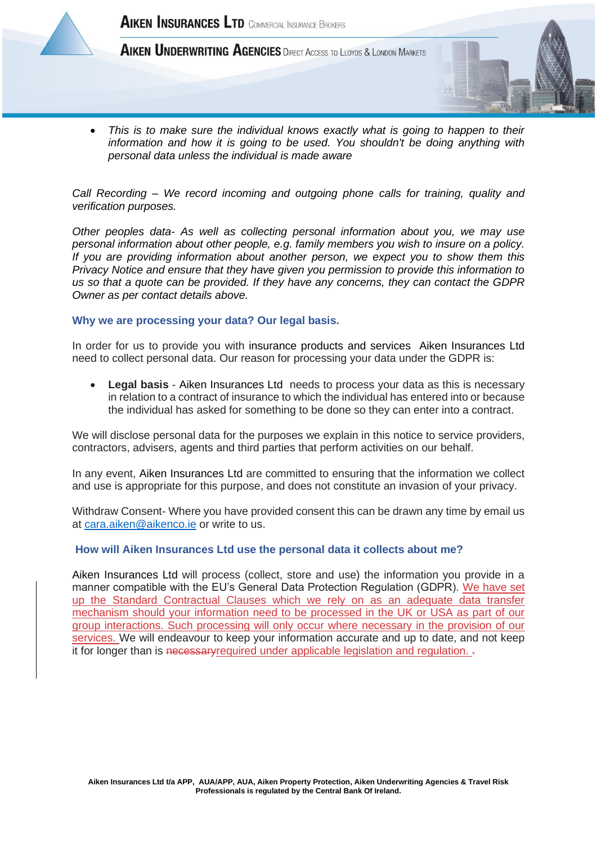

AIKEN UNDERWRITING AGENCIES DIRECT ACCESS TO LLOYDS & LONDON MARKETS

• *This is to make sure the individual knows exactly what is going to happen to their information and how it is going to be used. You shouldn't be doing anything with personal data unless the individual is made aware*

*Call Recording – We record incoming and outgoing phone calls for training, quality and verification purposes.* 

*Other peoples data- As well as collecting personal information about you, we may use personal information about other people, e.g. family members you wish to insure on a policy. If you are providing information about another person, we expect you to show them this Privacy Notice and ensure that they have given you permission to provide this information to us so that a quote can be provided. If they have any concerns, they can contact the GDPR Owner as per contact details above.*

### **Why we are processing your data? Our legal basis.**

In order for us to provide you with insurance products and services Aiken Insurances Ltd need to collect personal data. Our reason for processing your data under the GDPR is:

• **Legal basis** - Aiken Insurances Ltd needs to process your data as this is necessary in relation to a contract of insurance to which the individual has entered into or because the individual has asked for something to be done so they can enter into a contract.

We will disclose personal data for the purposes we explain in this notice to service providers, contractors, advisers, agents and third parties that perform activities on our behalf.

In any event, Aiken Insurances Ltd are committed to ensuring that the information we collect and use is appropriate for this purpose, and does not constitute an invasion of your privacy.

Withdraw Consent- Where you have provided consent this can be drawn any time by email us at [cara.aiken@aikenco.ie](mailto:cara.aiken@aikenco.ie) or write to us.

#### **How will Aiken Insurances Ltd use the personal data it collects about me?**

Aiken Insurances Ltd will process (collect, store and use) the information you provide in a manner compatible with the EU's General Data Protection Regulation (GDPR). We have set up the Standard Contractual Clauses which we rely on as an adequate data transfer mechanism should your information need to be processed in the UK or USA as part of our group interactions. Such processing will only occur where necessary in the provision of our services. We will endeavour to keep your information accurate and up to date, and not keep it for longer than is necessary required under applicable legislation and regulation. -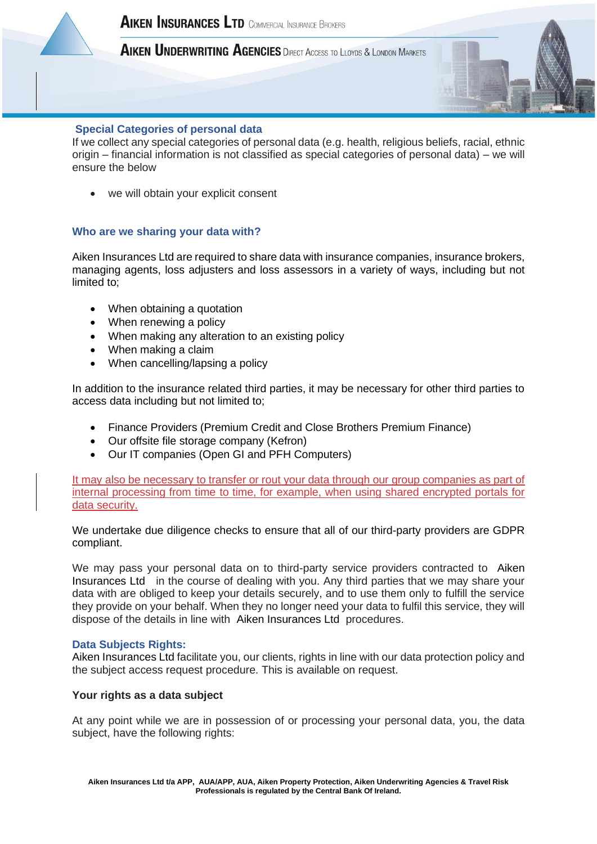

# AIKEN UNDERWRITING AGENCIES DIRECT ACCESS TO LLOYDS & LONDON MARKETS

### **Special Categories of personal data**

If we collect any special categories of personal data (e.g. health, religious beliefs, racial, ethnic origin – financial information is not classified as special categories of personal data) – we will ensure the below

• we will obtain your explicit consent

### **Who are we sharing your data with?**

Aiken Insurances Ltd are required to share data with insurance companies, insurance brokers, managing agents, loss adjusters and loss assessors in a variety of ways, including but not limited to;

- When obtaining a quotation
- When renewing a policy
- When making any alteration to an existing policy
- When making a claim
- When cancelling/lapsing a policy

In addition to the insurance related third parties, it may be necessary for other third parties to access data including but not limited to;

- Finance Providers (Premium Credit and Close Brothers Premium Finance)
- Our offsite file storage company (Kefron)
- Our IT companies (Open GI and PFH Computers)

It may also be necessary to transfer or rout your data through our group companies as part of internal processing from time to time, for example, when using shared encrypted portals for data security.

We undertake due diligence checks to ensure that all of our third-party providers are GDPR compliant.

We may pass your personal data on to third-party service providers contracted to Aiken Insurances Ltd in the course of dealing with you. Any third parties that we may share your data with are obliged to keep your details securely, and to use them only to fulfill the service they provide on your behalf. When they no longer need your data to fulfil this service, they will dispose of the details in line with Aiken Insurances Ltd procedures.

#### **Data Subjects Rights:**

Aiken Insurances Ltd facilitate you, our clients, rights in line with our data protection policy and the subject access request procedure. This is available on request.

#### **Your rights as a data subject**

At any point while we are in possession of or processing your personal data, you, the data subject, have the following rights: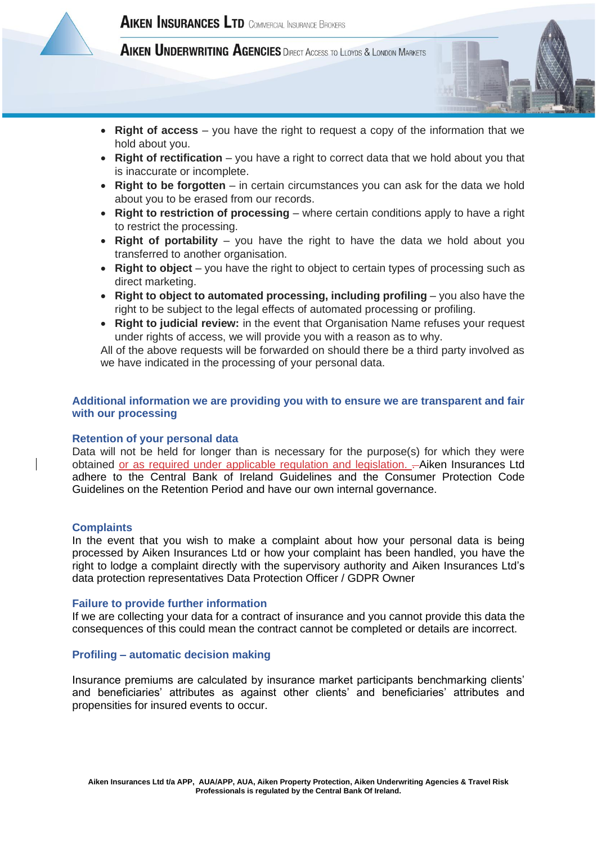



- **Right of access** you have the right to request a copy of the information that we hold about you.
- **Right of rectification** you have a right to correct data that we hold about you that is inaccurate or incomplete.
- **Right to be forgotten** in certain circumstances you can ask for the data we hold about you to be erased from our records.
- **Right to restriction of processing** where certain conditions apply to have a right to restrict the processing.
- **Right of portability** you have the right to have the data we hold about you transferred to another organisation.
- **Right to object** you have the right to object to certain types of processing such as direct marketing.
- **Right to object to automated processing, including profiling** you also have the right to be subject to the legal effects of automated processing or profiling.
- **Right to judicial review:** in the event that Organisation Name refuses your request under rights of access, we will provide you with a reason as to why.

All of the above requests will be forwarded on should there be a third party involved as we have indicated in the processing of your personal data.

### **Additional information we are providing you with to ensure we are transparent and fair with our processing**

#### **Retention of your personal data**

Data will not be held for longer than is necessary for the purpose(s) for which they were obtained or as required under applicable regulation and legislation. - Aiken Insurances Ltd adhere to the Central Bank of Ireland Guidelines and the Consumer Protection Code Guidelines on the Retention Period and have our own internal governance.

#### **Complaints**

In the event that you wish to make a complaint about how your personal data is being processed by Aiken Insurances Ltd or how your complaint has been handled, you have the right to lodge a complaint directly with the supervisory authority and Aiken Insurances Ltd's data protection representatives Data Protection Officer / GDPR Owner

#### **Failure to provide further information**

If we are collecting your data for a contract of insurance and you cannot provide this data the consequences of this could mean the contract cannot be completed or details are incorrect.

#### **Profiling – automatic decision making**

Insurance premiums are calculated by insurance market participants benchmarking clients' and beneficiaries' attributes as against other clients' and beneficiaries' attributes and propensities for insured events to occur.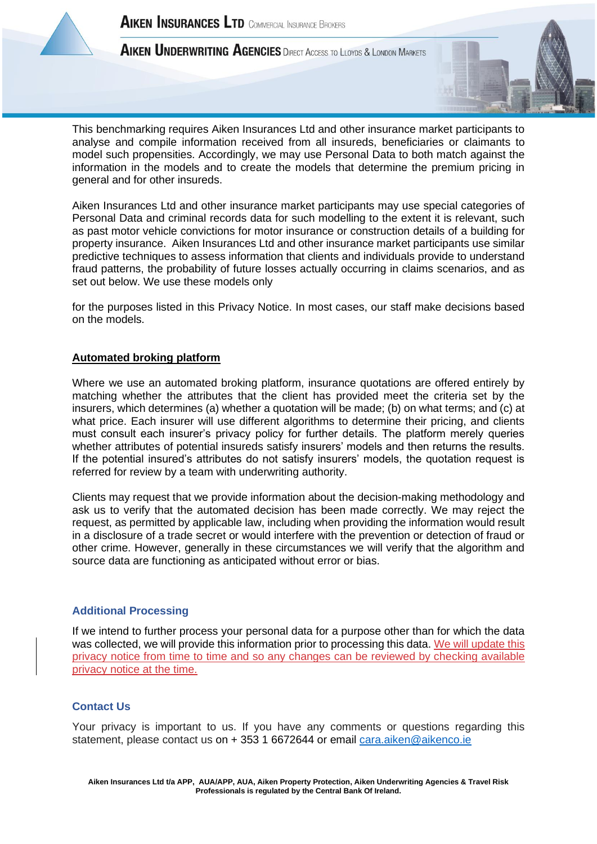





This benchmarking requires Aiken Insurances Ltd and other insurance market participants to analyse and compile information received from all insureds, beneficiaries or claimants to model such propensities. Accordingly, we may use Personal Data to both match against the information in the models and to create the models that determine the premium pricing in general and for other insureds.

Aiken Insurances Ltd and other insurance market participants may use special categories of Personal Data and criminal records data for such modelling to the extent it is relevant, such as past motor vehicle convictions for motor insurance or construction details of a building for property insurance. Aiken Insurances Ltd and other insurance market participants use similar predictive techniques to assess information that clients and individuals provide to understand fraud patterns, the probability of future losses actually occurring in claims scenarios, and as set out below. We use these models only

for the purposes listed in this Privacy Notice. In most cases, our staff make decisions based on the models.

# **Automated broking platform**

Where we use an automated broking platform, insurance quotations are offered entirely by matching whether the attributes that the client has provided meet the criteria set by the insurers, which determines (a) whether a quotation will be made; (b) on what terms; and (c) at what price. Each insurer will use different algorithms to determine their pricing, and clients must consult each insurer's privacy policy for further details. The platform merely queries whether attributes of potential insureds satisfy insurers' models and then returns the results. If the potential insured's attributes do not satisfy insurers' models, the quotation request is referred for review by a team with underwriting authority.

Clients may request that we provide information about the decision-making methodology and ask us to verify that the automated decision has been made correctly. We may reject the request, as permitted by applicable law, including when providing the information would result in a disclosure of a trade secret or would interfere with the prevention or detection of fraud or other crime. However, generally in these circumstances we will verify that the algorithm and source data are functioning as anticipated without error or bias.

# **Additional Processing**

If we intend to further process your personal data for a purpose other than for which the data was collected, we will provide this information prior to processing this data. We will update this privacy notice from time to time and so any changes can be reviewed by checking available privacy notice at the time.

# **Contact Us**

Your privacy is important to us. If you have any comments or questions regarding this statement, please contact us on + 353 1 6672644 or email [cara.aiken@aikenco.ie](mailto:cara.aiken@aikenco.ie)